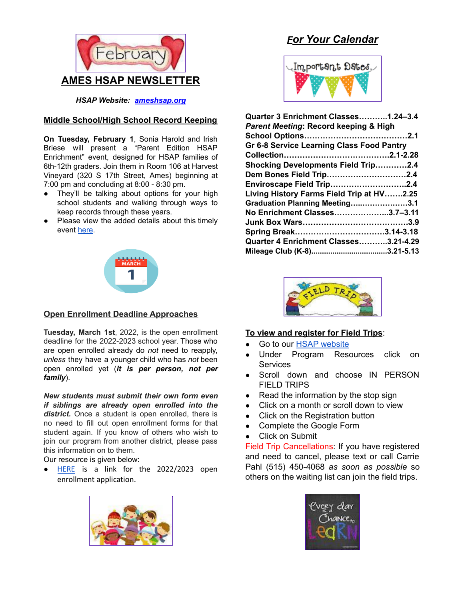

*HSAP Website: [ameshsap.org](http://ameshsap.org)*

## **Middle School/High School Record Keeping**

**On Tuesday, February 1**, Sonia Harold and Irish Briese will present a "Parent Edition HSAP Enrichment" event, designed for HSAP families of 6th-12th graders. Join them in Room 106 at Harvest Vineyard (320 S 17th Street, Ames) beginning at 7:00 pm and concluding at 8:00 - 8:30 pm.

- They'll be talking about options for your high school students and walking through ways to keep records through these years.
- Please view the added details about this timely event [here.](https://docs.google.com/document/d/1v2u9qeP5v_0FcuLsOHCsTxUuyNNuLSjxeT82R4NeAkI/edit)



## **Open Enrollment Deadline Approaches**

**Tuesday, March 1st**, 2022, is the open enrollment deadline for the 2022-2023 school year. Those who are open enrolled already do *not* need to reapply, *unless* they have a younger child who has *not* been open enrolled yet (*it is per person, not per family*).

*New students must submit their own form even if siblings are already open enrolled into the district.* Once a student is open enrolled, there is no need to fill out open enrollment forms for that student again. If you know of others who wish to join our program from another district, please pass this information on to them.

Our resource is given below:

● [HERE](https://educateiowa.gov/sites/files/ed/documents/SY22-23_OpenEnrollmentApplication_508.pdf) is a link for the 2022/2023 open enrollment application.



# *For Your Calendar*



| Quarter 3 Enrichment Classes1.24-3.4       |  |
|--------------------------------------------|--|
| Parent Meeting: Record keeping & High      |  |
|                                            |  |
| Gr 6-8 Service Learning Class Food Pantry  |  |
|                                            |  |
| <b>Shocking Developments Field Trip2.4</b> |  |
| Dem Bones Field Trip2.4                    |  |
| Enviroscape Field Trip2.4                  |  |
| Living History Farms Field Trip at HV2.25  |  |
| Graduation Planning Meeting3.1             |  |
| No Enrichment Classes3.7-3.11              |  |
|                                            |  |
| Spring Break3.14-3.18                      |  |
| Quarter 4 Enrichment Classes3.21-4.29      |  |
|                                            |  |



## **To view and register for Field Trips**:

- Go to our HSAP [website](http://ameshsap.org/)
- Under Program Resources click on Services
- Scroll down and choose IN PERSON FIELD TRIPS
- Read the information by the stop sign
- Click on a month or scroll down to view
- Click on the Registration button
- Complete the Google Form
- Click on Submit

Field Trip Cancellations: If you have registered and need to cancel, please text or call Carrie Pahl (515) 450-4068 *as soon as possible* so others on the waiting list can join the field trips.

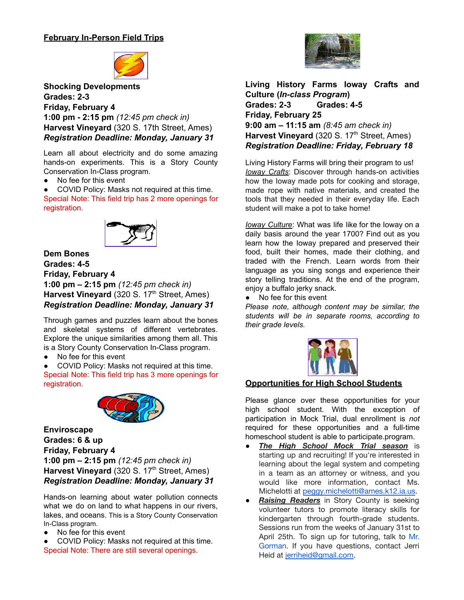## **February In-Person Field Trips**



**Shocking Developments Grades: 2-3 Friday, February 4 1:00 pm - 2:15 pm** *(12:45 pm check in)* **Harvest Vineyard** (320 S. 17th Street, Ames) *Registration Deadline: Monday, January 31*

Learn all about electricity and do some amazing hands-on experiments. This is a Story County Conservation In-Class program.

● No fee for this event

COVID Policy: Masks not required at this time. Special Note: This field trip has 2 more openings for registration.



**Dem Bones Grades: 4-5 Friday, February 4 1:00 pm – 2:15 pm** *(12:45 pm check in)* Harvest Vineyard (320 S. 17<sup>th</sup> Street, Ames) *Registration Deadline: Monday, January 31*

Through games and puzzles learn about the bones and skeletal systems of different vertebrates. Explore the unique similarities among them all. This is a Story County Conservation In-Class program.

● No fee for this event

COVID Policy: Masks not required at this time. Special Note: This field trip has 3 more openings for registration.



**Enviroscape Grades: 6 & up Friday, February 4 1:00 pm – 2:15 pm** *(12:45 pm check in)* Harvest Vineyard (320 S. 17<sup>th</sup> Street, Ames) *Registration Deadline: Monday, January 31*

Hands-on learning about water pollution connects what we do on land to what happens in our rivers, lakes, and oceans. This is a Story County Conservation In-Class program.

- No fee for this event
- COVID Policy: Masks not required at this time. Special Note: There are still several openings.



**Living History Farms Ioway Crafts and Culture (***In-class Program***) Grades: 2-3 Grades: 4-5 Friday, February 25 9:00 am – 11:15 am** *(8:45 am check in)* Harvest Vineyard (320 S. 17<sup>th</sup> Street, Ames) *Registration Deadline: Friday, February 18*

Living History Farms will bring their program to us! *Ioway Crafts*: Discover through hands-on activities how the Ioway made pots for cooking and storage, made rope with native materials, and created the tools that they needed in their everyday life. Each student will make a pot to take home!

*Ioway Culture*: What was life like for the Ioway on a daily basis around the year 1700? Find out as you learn how the Ioway prepared and preserved their food, built their homes, made their clothing, and traded with the French. Learn words from their language as you sing songs and experience their story telling traditions. At the end of the program, enjoy a buffalo jerky snack.

● No fee for this event

*Please note, although content may be similar, the students will be in separate rooms, according to their grade levels.*



## **Opportunities for High School Students**

Please glance over these opportunities for your high school student. With the exception of participation in Mock Trial, dual enrollment is *not* required for these opportunities and a full-time homeschool student is able to participate.program.

- *The High School Mock Trial season* is starting up and recruiting! If you're interested in learning about the legal system and competing in a team as an attorney or witness, and you would like more information, contact Ms. Michelotti at [peggy.michelotti@ames.k12.ia.us](mailto:peggy.michelotti@ames.k12.ia.us).
- **Raising Readers** in Story County is seeking volunteer tutors to promote literacy skills for kindergarten through fourth-grade students. Sessions run from the weeks of January 31st to April 25th. To sign up for tutoring, talk to Mr. Gorman. If you have questions, contact Jerri Heid at [jerriheid@gmail.com.](mailto:jerriheid@gmail.com)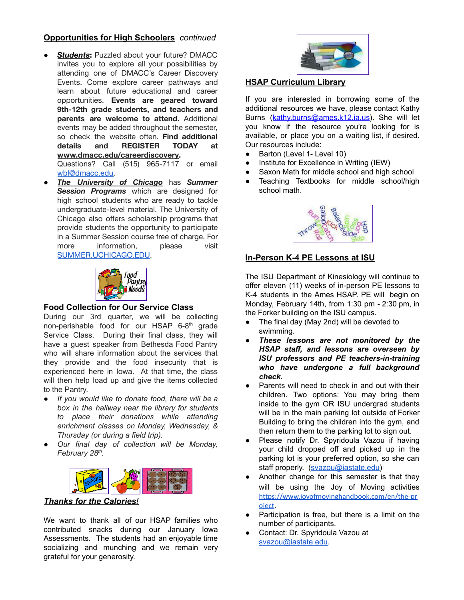## **Opportunities for High Schoolers** *continued*

- *Students***:** Puzzled about your future? DMACC invites you to explore all your possibilities by attending one of DMACC's Career Discovery Events. Come explore career pathways and learn about future educational and career opportunities. **Events are geared toward 9th-12th grade students, and teachers and parents are welcome to attend.** Additional events may be added throughout the semester, so check the website often. **Find additional details and REGISTER TODAY at [www.dmacc.edu/careerdiscovery](https://r20.rs6.net/tn.jsp?f=001ZyhGoQgDuqEdgCooYe-vR8lHLs3wLMXhfZVaiqSqO1ARM65MusBQSBlmEm_UveD0ohDfSj8escsDODPb3PPn0g-473PD04sloq3Vqzjkglo5124ihsLkK6KgKZUUzXT2bR-pF_6lBIqQfNty7ebNjuZqXBsyTtibj6aR7SM3uruw7NYT3PwO8BPrpgjUcoM-&c=q5HdBGZRyx_111_GkkfypzpmtOUgNESWSvz7GHuWr6Zqz7VxUYkFzg==&ch=nEDFOo0L502b2vfwrBh8h2IB1k7eXN5Dl5-Pc47713fhrEjm2FRpaQ==).** Questions? Call (515) 965-7117 or email [wbl@dmacc.edu.](mailto:wbl@dmacc.edu)
- *The University of Chicago* has *Summer Session Programs* which are designed for high school students who are ready to tackle undergraduate-level material. The University of Chicago also offers scholarship programs that provide students the opportunity to participate in a Summer Session course free of charge. For more information, please visit [SUMMER.UCHICAGO.EDU.](http://summer.uchicago.edu/)



#### **Food Collection for Our Service Class**

During our 3rd quarter, we will be collecting non-perishable food for our HSAP 6-8<sup>th</sup> grade Service Class. During their final class, they will have a guest speaker from Bethesda Food Pantry who will share information about the services that they provide and the food insecurity that is experienced here in Iowa. At that time, the class will then help load up and give the items collected to the Pantry.

- *If you would like to donate food, there will be a box in the hallway near the library for students to place their donations while attending enrichment classes on Monday, Wednesday, & Thursday (or during a field trip).*
- *Our final day of collection will be Monday, February 28 th .*



#### *Thanks for the Calories!*

We want to thank all of our HSAP families who contributed snacks during our January Iowa Assessments. The students had an enjoyable time socializing and munching and we remain very grateful for your generosity.



#### **HSAP Curriculum Library**

If you are interested in borrowing some of the additional resources we have, please contact Kathy Burns ([kathy.burns@ames.k12.ia.us](mailto:kathy.burns@ames.k12.ia.us)). She will let you know if the resource you're looking for is available, or place you on a waiting list, if desired. Our resources include:

- Barton (Level 1- Level 10)
- Institute for Excellence in Writing (IEW)
- Saxon Math for middle school and high school
- Teaching Textbooks for middle school/high school math.



## **In-Person K-4 PE Lessons at ISU**

The ISU Department of Kinesiology will continue to offer eleven (11) weeks of in-person PE lessons to K-4 students in the Ames HSAP. PE will begin on Monday, February 14th, from 1:30 pm - 2:30 pm, in the Forker building on the ISU campus.

- The final day (May 2nd) will be devoted to swimming.
- *● These lessons are not monitored by the HSAP staff, and lessons are overseen by ISU professors and PE teachers-in-training who have undergone a full background check.*
- Parents will need to check in and out with their children. Two options: You may bring them inside to the gym OR ISU undergrad students will be in the main parking lot outside of Forker Building to bring the children into the gym, and then return them to the parking lot to sign out.
- Please notify Dr. Spyridoula Vazou if having your child dropped off and picked up in the parking lot is your preferred option, so she can staff properly. [\(svazou@iastate.edu](mailto:svazou@iastate.edu))
- Another change for this semester is that they will be using the Joy of Moving activities [https://www.joyofmovinghandbook.com/en/the-pr](https://www.joyofmovinghandbook.com/en/the-project) [oject](https://www.joyofmovinghandbook.com/en/the-project).
- Participation is free, but there is a limit on the number of participants.
- Contact: Dr. Spyridoula Vazou at [svazou@iastate.edu.](mailto:svazou@iastate.edu)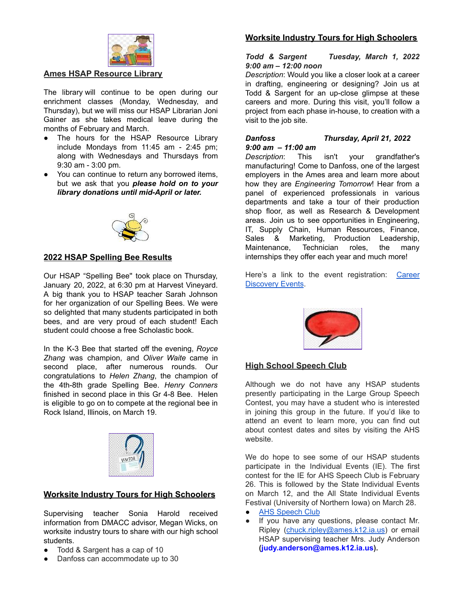

### **Ames HSAP Resource Library**

The library will continue to be open during our enrichment classes (Monday, Wednesday, and Thursday), but we will miss our HSAP Librarian Joni Gainer as she takes medical leave during the months of February and March.

- The hours for the HSAP Resource Library include Mondays from 11:45 am - 2:45 pm; along with Wednesdays and Thursdays from 9:30 am - 3:00 pm.
- You can continue to return any borrowed items, but we ask that you *please hold on to your library donations until mid-April or later.*



#### **2022 HSAP Spelling Bee Results**

Our HSAP "Spelling Bee'' took place on Thursday, January 20, 2022, at 6:30 pm at Harvest Vineyard. A big thank you to HSAP teacher Sarah Johnson for her organization of our Spelling Bees. We were so delighted that many students participated in both bees, and are very proud of each student! Each student could choose a free Scholastic book.

In the K-3 Bee that started off the evening, *Royce Zhang* was champion, and *Oliver Waite* came in second place, after numerous rounds. Our congratulations to *Helen Zhang*, the champion of the 4th-8th grade Spelling Bee. *Henry Conners* finished in second place in this Gr 4-8 Bee. Helen is eligible to go on to compete at the regional bee in Rock Island, Illinois, on March 19.



#### **Worksite Industry Tours for High Schoolers**

Supervising teacher Sonia Harold received information from DMACC advisor, Megan Wicks, on worksite industry tours to share with our high school students.

- Todd & Sargent has a cap of 10
- Danfoss can accommodate up to 30

### **Worksite Industry Tours for High Schoolers**

#### *Todd & Sargent Tuesday, March 1, 2022 9:00 am – 12:00 noon*

*Description*: Would you like a closer look at a career in drafting, engineering or designing? Join us at Todd & Sargent for an up-close glimpse at these careers and more. During this visit, you'll follow a project from each phase in-house, to creation with a visit to the job site.

#### *Danfoss Thursday, April 21, 2022 9:00 am – 11:00 am*

*Description*: This isn't your grandfather's manufacturing! Come to Danfoss, one of the largest employers in the Ames area and learn more about how they are *Engineering Tomorrow*! Hear from a panel of experienced professionals in various departments and take a tour of their production shop floor, as well as Research & Development areas. Join us to see opportunities in Engineering, IT, Supply Chain, Human Resources, Finance, Sales & Marketing, Production Leadership, Maintenance, Technician roles, the many internships they offer each year and much more!

Here's a link to the event registration: [Career](https://www.dmacc.edu/careerdiscovery/Pages/careerdiscovery.aspx) [Discovery](https://www.dmacc.edu/careerdiscovery/Pages/careerdiscovery.aspx) Events.



#### **High School Speech Club**

Although we do not have any HSAP students presently participating in the Large Group Speech Contest, you may have a student who is interested in joining this group in the future. If you'd like to attend an event to learn more, you can find out about contest dates and sites by visiting the AHS website.

We do hope to see some of our HSAP students participate in the Individual Events (IE). The first contest for the IE for AHS Speech Club is February 26. This is followed by the State Individual Events on March 12, and the All State Individual Events Festival (University of Northern Iowa) on March 28.

- **AHS [Speech](https://sites.google.com/a/ames.k12.ia.us/ameshighspeechclub) Club**
- If you have any questions, please contact Mr. Ripley ([chuck.ripley@ames.k12.ia.us](mailto:chuck.ripley@ames.k12.ia.us)) or email HSAP supervising teacher Mrs. Judy Anderson **[\(judy.anderson@ames.k12.ia.us](mailto:judy.anderson@ames.k12.ia.us)).**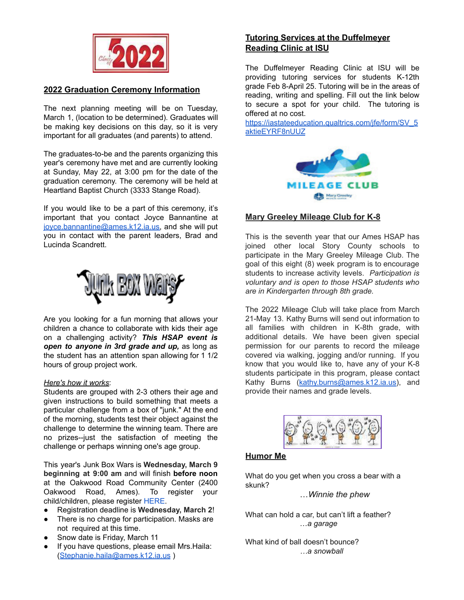

## **2022 Graduation Ceremony Information**

The next planning meeting will be on Tuesday, March 1, (location to be determined). Graduates will be making key decisions on this day, so it is very important for all graduates (and parents) to attend.

The graduates-to-be and the parents organizing this year's ceremony have met and are currently looking at Sunday, May 22, at 3:00 pm for the date of the graduation ceremony. The ceremony will be held at Heartland Baptist Church (3333 Stange Road).

If you would like to be a part of this ceremony, it's important that you contact Joyce Bannantine at [joyce.bannantine@ames.k12.ia.us,](mailto:joyce.bannantine@ames.k12.ia.us) and she will put you in contact with the parent leaders, Brad and Lucinda Scandrett.



Are you looking for a fun morning that allows your children a chance to collaborate with kids their age on a challenging activity? *This HSAP event is open to anyone in 3rd grade and up,* as long as the student has an attention span allowing for 1 1/2 hours of group project work.

#### *Here's how it works*:

Students are grouped with 2-3 others their age and given instructions to build something that meets a particular challenge from a box of "junk." At the end of the morning, students test their object against the challenge to determine the winning team. There are no prizes--just the satisfaction of meeting the challenge or perhaps winning one's age group.

This year's Junk Box Wars is **Wednesday, March 9 beginning at 9:00 am** and will finish **before noon** at the Oakwood Road Community Center (2400 Oakwood Road, Ames). To register your child/children, please register [HERE.](https://docs.google.com/forms/d/e/1FAIpQLSeRPB1win_z43oz3DNtoS4idOHqfYaX9apsVFW_hZrPTO7vDw/viewform?usp=sf_link)

- Registration deadline is **Wednesday, March 2**!
- There is no charge for participation. Masks are not required at this time.
- Snow date is Friday, March 11
- If you have questions, please email Mrs.Haila: ([Stephanie.haila@ames.k12.ia.us](mailto:Stephanie.haila@ames.k12.ia.us) )

## **Tutoring Services at the Duffelmeyer Reading Clinic at ISU**

The Duffelmeyer Reading Clinic at ISU will be providing tutoring services for students K-12th grade Feb 8-April 25. Tutoring will be in the areas of reading, writing and spelling. Fill out the link below to secure a spot for your child. The [tutoring](https://iastateeducation.qualtrics.com/jfe/form/SV_5aktieEYRF8nUUZ) is [offered](https://iastateeducation.qualtrics.com/jfe/form/SV_5aktieEYRF8nUUZ) at no cost.

https://iastateeducation.qualtrics.com/ife/form/SV\_5 [aktieEYRF8nUUZ](https://iastateeducation.qualtrics.com/jfe/form/SV_5aktieEYRF8nUUZ)



## **Mary Greeley Mileage Club for K-8**

This is the seventh year that our Ames HSAP has joined other local Story County schools to participate in the Mary Greeley Mileage Club. The goal of this eight (8) week program is to encourage students to increase activity levels. *Participation is voluntary and is open to those HSAP students who are in Kindergarten through 8th grade.*

The 2022 Mileage Club will take place from March 21-May 13. Kathy Burns will send out information to all families with children in K-8th grade, with additional details. We have been given special permission for our parents to record the mileage covered via walking, jogging and/or running. If you know that you would like to, have any of your K-8 students participate in this program, please contact Kathy Burns ([kathy.burns@ames.k12.ia.us](mailto:kathy.burns@ames.k12.ia.us)), and provide their names and grade levels.



## **Humor Me**

What do you get when you cross a bear with a skunk?

…*Winnie the phew*

What can hold a car, but can't lift a feather? …*a garage*

What kind of ball doesn't bounce? *…a snowball*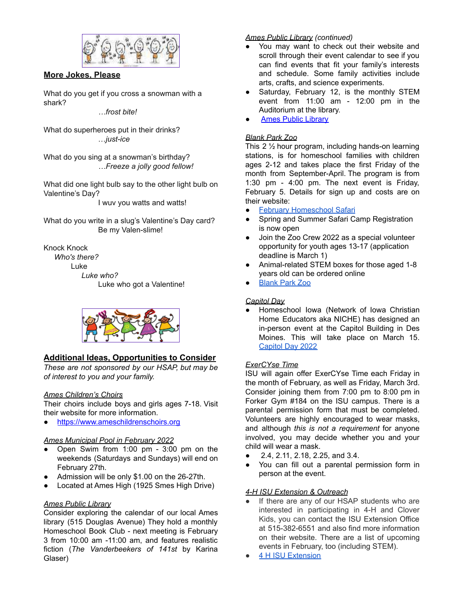

**More Jokes, Please**

What do you get if you cross a snowman with a shark?

*…frost bite!*

What do superheroes put in their drinks? …*just-ice*

What do you sing at a snowman's birthday? *…Freeze a jolly good fellow!*

What did one light bulb say to the other light bulb on Valentine's Day?

I wuv you watts and watts!

What do you write in a slug's Valentine's Day card? Be my Valen-slime!

Knock Knock

*Who's there?* Luke *Luke who?* Luke who got a Valentine!



## **Additional Ideas, Opportunities to Consider**

*These are not sponsored by our HSAP, but may be of interest to you and your family.*

#### *Ames Children's Choirs*

Their choirs include boys and girls ages 7-18. Visit their website for more information.

<https://www.ameschildrenschoirs.org>

## *Ames Municipal Pool in February 2022*

- Open Swim from 1:00 pm 3:00 pm on the weekends (Saturdays and Sundays) will end on February 27th.
- Admission will be only \$1.00 on the 26-27th.
- Located at Ames High (1925 Smes High Drive)

#### *Ames Public Library*

Consider exploring the calendar of our local Ames library (515 Douglas Avenue) They hold a monthly Homeschool Book Club - next meeting is February 3 from 10:00 am -11:00 am, and features realistic fiction (*The Vanderbeekers of 141st* by Karina Glaser)

### *Ames Public Library (continued)*

- You may want to check out their website and scroll through their event calendar to see if you can find events that fit your family's interests and schedule. Some family activities include arts, crafts, and science experiments.
- Saturday, February 12, is the monthly STEM event from 11:00 am - 12:00 pm in the Auditorium at the library.
- **Ames Public [Library](https://www.amespubliclibrary.org/)**

## *Blank Park Zoo*

This 2 ½ hour program, including hands-on learning stations, is for homeschool families with children ages 2-12 and takes place the first Friday of the month from September-April. The program is from 1:30 pm - 4:00 pm. The next event is Friday, February 5. Details for sign up and costs are on their website:

- February [Homeschool](https://www.blankparkzoo.com/events/calendar/homeschool-safari---tundra/) Safari
- Spring and Summer Safari Camp Registration is now open
- Join the Zoo Crew 2022 as a special volunteer opportunity for youth ages 13-17 (application deadline is March 1)
- Animal-related STEM boxes for those aged 1-8 years old can be ordered online
- **[Blank](https://www.blankparkzoo.com/) Park Zoo**

#### *Capitol Day*

Homeschool Iowa (Network of Iowa Christian Home Educators aka NICHE) has designed an in-person event at the Capitol Building in Des Moines. This will take place on March 15. [Capitol](https://homeschooliowa.org/events-page/capitol-day/) Day 2022

#### *ExerCYse Time*

ISU will again offer ExerCYse Time each Friday in the month of February, as well as Friday, March 3rd. Consider joining them from 7:00 pm to 8:00 pm in Forker Gym #184 on the ISU campus. There is a parental permission form that must be completed. Volunteers are highly encouraged to wear masks, and although *this is not a requirement* for anyone involved, you may decide whether you and your child will wear a mask.

- 2.4, 2.11, 2.18, 2.25, and 3.4.
- You can fill out a parental permission form in person at the event.

## *4-H ISU Extension & Outreach*

- If there are any of our HSAP students who are interested in participating in 4-H and Clover Kids, you can contact the ISU Extension Office at 515-382-6551 and also find more information on their website. There are a list of upcoming events in February, too (including STEM).
- 4 H ISU [Extension](https://www.extension.iastate.edu/story/page/join-4-h)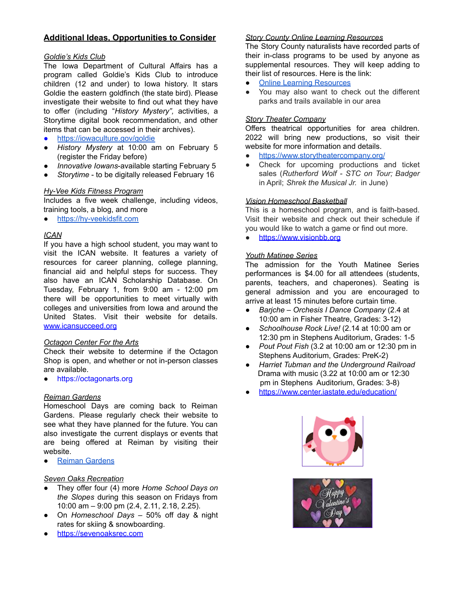### **Additional Ideas, Opportunities to Consider**

#### *Goldie's Kids Club*

The Iowa Department of Cultural Affairs has a program called Goldie's Kids Club to introduce children (12 and under) to Iowa history. It stars Goldie the eastern goldfinch (the state bird). Please investigate their website to find out what they have to offer (including "*History Mystery",* activities, a Storytime digital book recommendation, and other items that can be accessed in their archives).

- <https://iowaculture.gov/goldie>
- *History Mystery* at 10:00 am on February 5 (register the Friday before)
- *Innovative Iowans*-available starting February 5
- *Storytime* to be digitally released February 16

### *Hy-Vee Kids Fitness Program*

Includes a five week challenge, including videos, training tools, a blog, and more

● <https://hy-veekidsfit.com>

#### *ICAN*

If you have a high school student, you may want to visit the ICAN website. It features a variety of resources for career planning, college planning, financial aid and helpful steps for success. They also have an ICAN Scholarship Database. On Tuesday, February 1, from 9:00 am - 12:00 pm there will be opportunities to meet virtually with colleges and universities from Iowa and around the United States. Visit their website for details. [www.icansucceed.org](http://www.icansucceed.org)

#### *Octagon Center For the Arts*

Check their website to determine if the Octagon Shop is open, and whether or not in-person classes are available.

● <https://octagonarts.org>

#### *Reiman Gardens*

Homeschool Days are coming back to Reiman Gardens. Please regularly check their website to see what they have planned for the future. You can also investigate the current displays or events that are being offered at Reiman by visiting their website.

**Reiman [Gardens](https://www.reimangardens.com)** 

#### *Seven Oaks Recreation*

- They offer four (4) more *Home School Days on the Slopes* during this season on Fridays from 10:00 am – 9:00 pm (2.4, 2.11, 2.18, 2.25).
- On *Homeschool Days* 50% off day & night rates for skiing & snowboarding.
- <https://sevenoaksrec.com>

#### *Story County Online Learning Resources*

The Story County naturalists have recorded parts of their in-class programs to be used by anyone as supplemental resources. They will keep adding to their list of resources. Here is the link:

- Online Learning [Resources](https://www.storycountyiowa.gov/1463/Online-Learning-Resources)
- You may also want to check out the different parks and trails available in our area

#### *Story Theater Company*

Offers theatrical opportunities for area children. 2022 will bring new productions, so visit their website for more information and details.

- <https://www.storytheatercompany.org/>
- Check for upcoming productions and ticket sales (*Rutherford Wolf - STC on Tour; Badger* in April; *Shrek the Musical Jr.* in June)

#### *Vision Homeschool Basketball*

This is a homeschool program, and is faith-based. Visit their website and check out their schedule if you would like to watch a game or find out more.

● <https://www.visionbb.org>

#### *Youth Matinee Series*

The admission for the Youth Matinee Series performances is \$4.00 for all attendees (students, parents, teachers, and chaperones). Seating is general admission and you are encouraged to arrive at least 15 minutes before curtain time.

- *Barjche – Orchesis I Dance Company* (2.4 at 10:00 am in Fisher Theatre, Grades: 3-12)
- *Schoolhouse Rock Live!* (2.14 at 10:00 am or 12:30 pm in Stephens Auditorium, Grades: 1-5
- *Pout Pout Fish* (3.2 at 10:00 am or 12:30 pm in Stephens Auditorium, Grades: PreK-2)
- *● Harriet Tubman and the Underground Railroad* Drama with music (3.22 at 10:00 am or 12:30 pm in Stephens Auditorium, Grades: 3-8)
- <https://www.center.iastate.edu/education/>